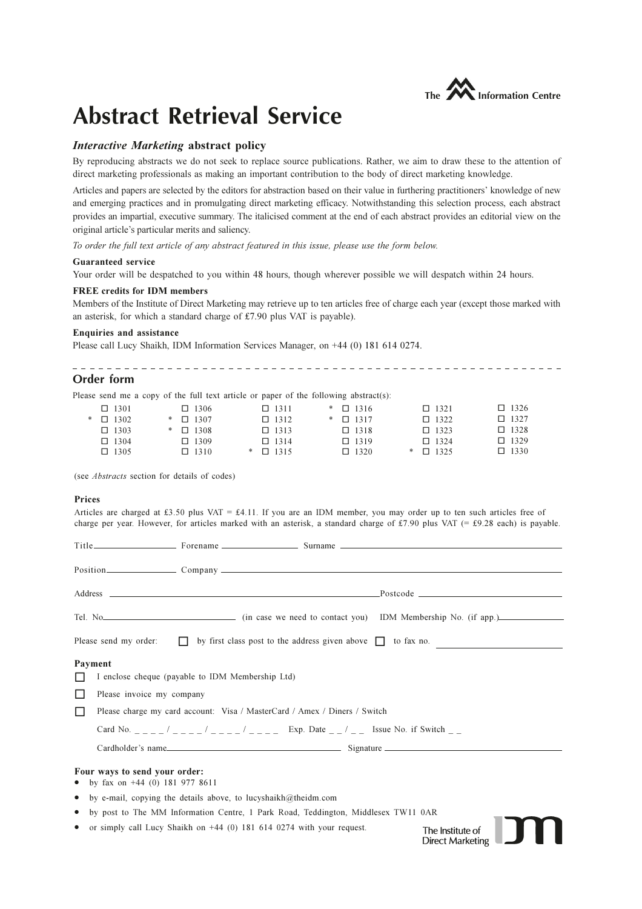

\_\_\_\_\_\_\_\_\_\_\_\_\_\_\_\_\_\_\_\_\_\_\_\_\_\_

# **Abstract Retrieval Service**

## *Interactive Marketing abstract policy*

By reproducing abstracts we do not seek to replace source publications. Rather, we aim to draw these to the attention of direct marketing professionals as making an important contribution to the body of direct marketing knowledge.

Articles and papers are selected by the editors for abstraction based on their value in furthering practitioners' knowledge of new and emerging practices and in promulgating direct marketing efficacy. Notwithstanding this selection process, each abstract provides an impartial, executive summary. The italicised comment at the end of each abstract provides an editorial view on the original article's particular merits and saliency.

To order the full text article of any abstract featured in this issue, please use the form below.

## **Guaranteed service**

Your order will be despatched to you within 48 hours, though wherever possible we will despatch within 24 hours.

## **FREE** credits for IDM members

Members of the Institute of Direct Marketing may retrieve up to ten articles free of charge each year (except those marked with an asterisk, for which a standard charge of £7.90 plus VAT is payable).

## Enquiries and assistance

Please call Lucy Shaikh, IDM Information Services Manager, on +44 (0) 181 614 0274.

## Order form

Please send me a copy of the full text article or paper of the following abstract(s):

\_\_\_\_\_\_\_\_\_\_\_\_\_\_\_\_\_\_\_\_\_\_\_\_\_\_\_\_\_\_\_\_\_\_\_\_\_

|  | $\Box$ 1301        |  | $\Box$ 1306        |  | $\Box$ 1311        |  | $\ast$ 0 1316      |  | $\Box$ 1321        |  | $\Box$ 1326 |
|--|--------------------|--|--------------------|--|--------------------|--|--------------------|--|--------------------|--|-------------|
|  | $\ast$ $\Box$ 1302 |  | $\ast$ $\Box$ 1307 |  | $\Box$ 1312        |  | $\ast$ $\Box$ 1317 |  | $\Box$ 1322        |  | $\Box$ 1327 |
|  | $\Box$ 1303        |  | $\ast$ $\Box$ 1308 |  | $\Box$ 1313        |  | $\Box$ 1318        |  | $\Box$ 1323        |  | $\Box$ 1328 |
|  | $\Box$ 1304        |  | $\Box$ 1309        |  | $\Box$ 1314        |  | $\Box$ 1319        |  | $\Box$ 1324        |  | $\Box$ 1329 |
|  | $\Box$ 1305        |  | $\Box$ 1310        |  | $\ast$ $\Box$ 1315 |  | $\Box$ 1320        |  | $\ast$ $\Box$ 1325 |  | $\Box$ 1330 |
|  |                    |  |                    |  |                    |  |                    |  |                    |  |             |

(see Abstracts section for details of codes)

## Prices

Articles are charged at £3.50 plus VAT = £4.11. If you are an IDM member, you may order up to ten such articles free of charge per year. However, for articles marked with an asterisk, a standard charge of £7.90 plus VAT (= £9.28 each) is payable.

|                   | Tel. No<br>(in case we need to contact you) IDM Membership No. (if app.)                      |
|-------------------|-----------------------------------------------------------------------------------------------|
|                   | Please send my order: $\Box$ by first class post to the address given above $\Box$ to fax no. |
| Payment<br>ப<br>□ | I enclose cheque (payable to IDM Membership Ltd)<br>Please invoice my company                 |
| $\Box$            | Please charge my card account: Visa / MasterCard / Amex / Diners / Switch                     |
|                   | Card No. _ _ _ _ / _ _ _ _ / _ _ _ _ / _ _ _ Exp. Date _ _ / _ _ Issue No. if Switch _ _      |
|                   |                                                                                               |
|                   | Four ways to send your order:<br>• by fax on $+44$ (0) 181 977 8611                           |
|                   | • by e-mail, copying the details above, to lucyshaikh@theidm.com                              |
|                   | • by post to The MM Information Centre, 1 Park Road, Teddington, Middlesex TW11 0AR           |

or simply call Lucy Shaikh on  $+44$  (0) 181 614 0274 with your request.

The Institute of **Direct Marketing** 

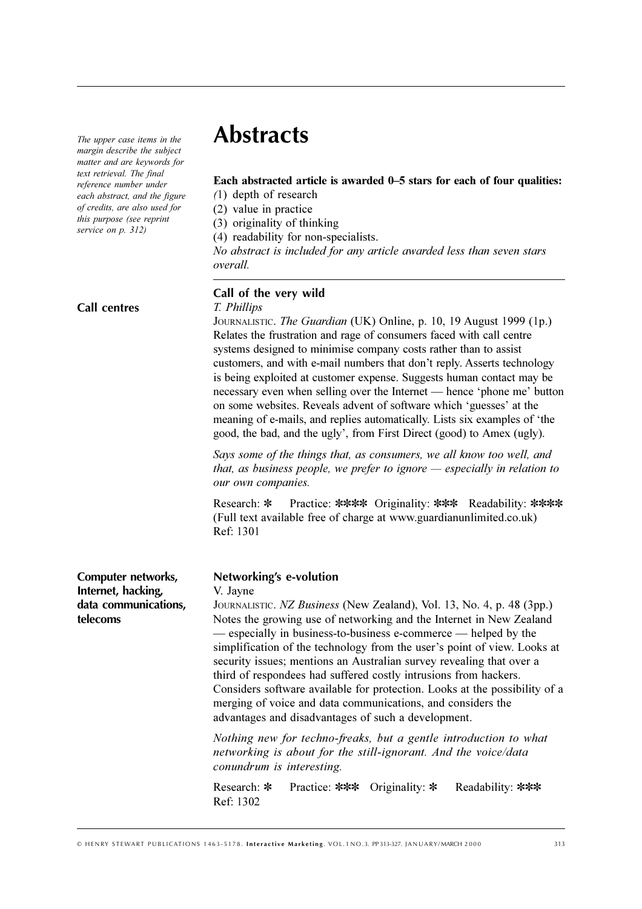The upper case items in the margin describe the subject matter and are keywords for text retrieval. The final reference number under each abstract, and the figure *of credits, are also used for* this purpose (see reprint *service on p. 312)* 

**Call centres**

# **Abstracts**

# Each abstracted article is awarded 0–5 stars for each of four qualities:

 $(1)$  depth of research

 $(2)$  value in practice

(3) originality of thinking

(4) readability for non-specialists.

*No abstract is included for any article awarded less than seven stars overall.* 

# **Call of the very wild**

# 

Journalistic. *The Guardian* (UK) Online, p. 10, 19 August 1999 (1p.) Relates the frustration and rage of consumers faced with call centre systems designed to minimise company costs rather than to assist customers, and with e-mail numbers that don't reply. Asserts technology is being exploited at customer expense. Suggests human contact may be necessary even when selling over the Internet — hence 'phone me' button on some websites. Reveals advent of software which 'guesses' at the meaning of e-mails, and replies automatically. Lists six examples of 'the good, the bad, and the ugly', from First Direct (good) to Amex (ugly).

Says some of the things that, as consumers, we all know too well, and that, as business people, we prefer to ignore — especially in relation to our own companies.

Research: \* Practice: \*\*\*\* Originality: \*\*\* Readability: \*\*\*\* (Full text available free of charge at www.guardianunlimited.co.uk) Ref: 1301

**Computer networks, Internet, hacking, data communications, telecoms**

## **Networking's e-volution**

## V. Jayne

JOURNALISTIC. *NZ Business* (New Zealand), Vol. 13, No. 4, p. 48 (3pp.) Notes the growing use of networking and the Internet in New Zealand — especially in business-to-business e-commerce — helped by the simplification of the technology from the user's point of view. Looks at security issues; mentions an Australian survey revealing that over a third of respondees had suffered costly intrusions from hackers. Considers software available for protection. Looks at the possibility of a merging of voice and data communications, and considers the advantages and disadvantages of such a development.

Nothing new for techno-freaks, but a gentle introduction to what networking is about for the still-ignorant. And the voice/data conundrum is interesting.

Research: \* Practice: \*\*\* Originality: \* Readability: \*\*\* Ref: 1302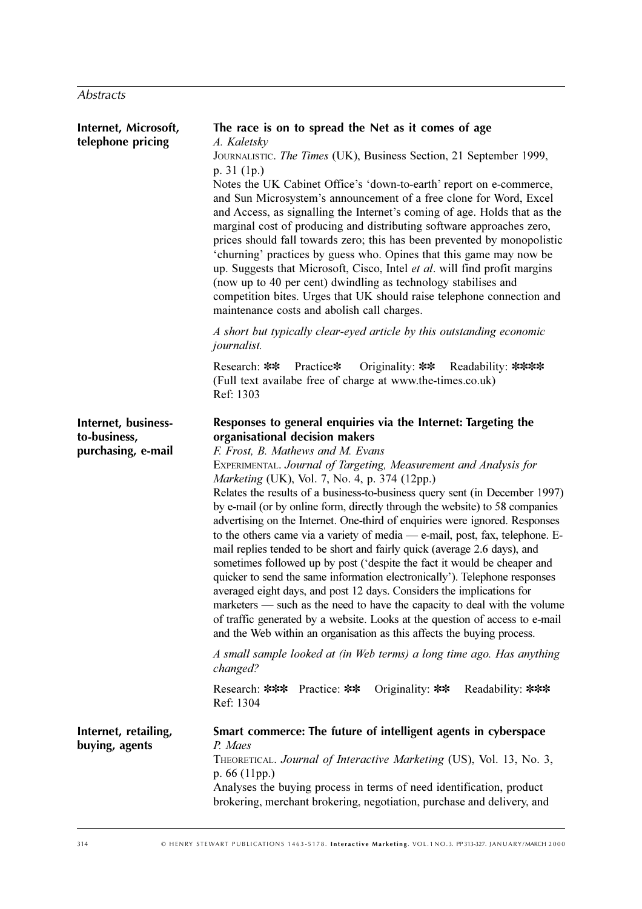| Internet, Microsoft,<br>telephone pricing                 | The race is on to spread the Net as it comes of age<br>A. Kaletsky<br>JOURNALISTIC. The Times (UK), Business Section, 21 September 1999,<br>p. 31 (1p.)<br>Notes the UK Cabinet Office's 'down-to-earth' report on e-commerce,<br>and Sun Microsystem's announcement of a free clone for Word, Excel<br>and Access, as signalling the Internet's coming of age. Holds that as the<br>marginal cost of producing and distributing software approaches zero,<br>prices should fall towards zero; this has been prevented by monopolistic<br>'churning' practices by guess who. Opines that this game may now be<br>up. Suggests that Microsoft, Cisco, Intel et al. will find profit margins<br>(now up to 40 per cent) dwindling as technology stabilises and<br>competition bites. Urges that UK should raise telephone connection and<br>maintenance costs and abolish call charges.<br>A short but typically clear-eyed article by this outstanding economic                                                                                                                                                                                                                                                         |
|-----------------------------------------------------------|------------------------------------------------------------------------------------------------------------------------------------------------------------------------------------------------------------------------------------------------------------------------------------------------------------------------------------------------------------------------------------------------------------------------------------------------------------------------------------------------------------------------------------------------------------------------------------------------------------------------------------------------------------------------------------------------------------------------------------------------------------------------------------------------------------------------------------------------------------------------------------------------------------------------------------------------------------------------------------------------------------------------------------------------------------------------------------------------------------------------------------------------------------------------------------------------------------------------|
|                                                           | journalist.<br>Research: ** Practice* Originality: ** Readability: ****<br>(Full text availabe free of charge at www.the-times.co.uk)<br>Ref: 1303                                                                                                                                                                                                                                                                                                                                                                                                                                                                                                                                                                                                                                                                                                                                                                                                                                                                                                                                                                                                                                                                     |
| Internet, business-<br>to-business,<br>purchasing, e-mail | Responses to general enquiries via the Internet: Targeting the<br>organisational decision makers<br>F. Frost, B. Mathews and M. Evans<br>EXPERIMENTAL. Journal of Targeting, Measurement and Analysis for<br>Marketing (UK), Vol. 7, No. 4, p. 374 (12pp.)<br>Relates the results of a business-to-business query sent (in December 1997)<br>by e-mail (or by online form, directly through the website) to 58 companies<br>advertising on the Internet. One-third of enquiries were ignored. Responses<br>to the others came via a variety of media - e-mail, post, fax, telephone. E-<br>mail replies tended to be short and fairly quick (average 2.6 days), and<br>sometimes followed up by post ('despite the fact it would be cheaper and<br>quicker to send the same information electronically'). Telephone responses<br>averaged eight days, and post 12 days. Considers the implications for<br>marketers — such as the need to have the capacity to deal with the volume<br>of traffic generated by a website. Looks at the question of access to e-mail<br>and the Web within an organisation as this affects the buying process.<br>A small sample looked at (in Web terms) a long time ago. Has anything |
|                                                           | changed?<br>Research: *** Practice: **<br>Originality: $**$<br>Readability: ***<br>Ref: 1304                                                                                                                                                                                                                                                                                                                                                                                                                                                                                                                                                                                                                                                                                                                                                                                                                                                                                                                                                                                                                                                                                                                           |
| Internet, retailing,<br>buying, agents                    | Smart commerce: The future of intelligent agents in cyberspace<br>P. Maes<br>THEORETICAL. Journal of Interactive Marketing (US), Vol. 13, No. 3,<br>$p.66$ (11pp.)<br>Analyses the buying process in terms of need identification, product<br>brokering, merchant brokering, negotiation, purchase and delivery, and                                                                                                                                                                                                                                                                                                                                                                                                                                                                                                                                                                                                                                                                                                                                                                                                                                                                                                   |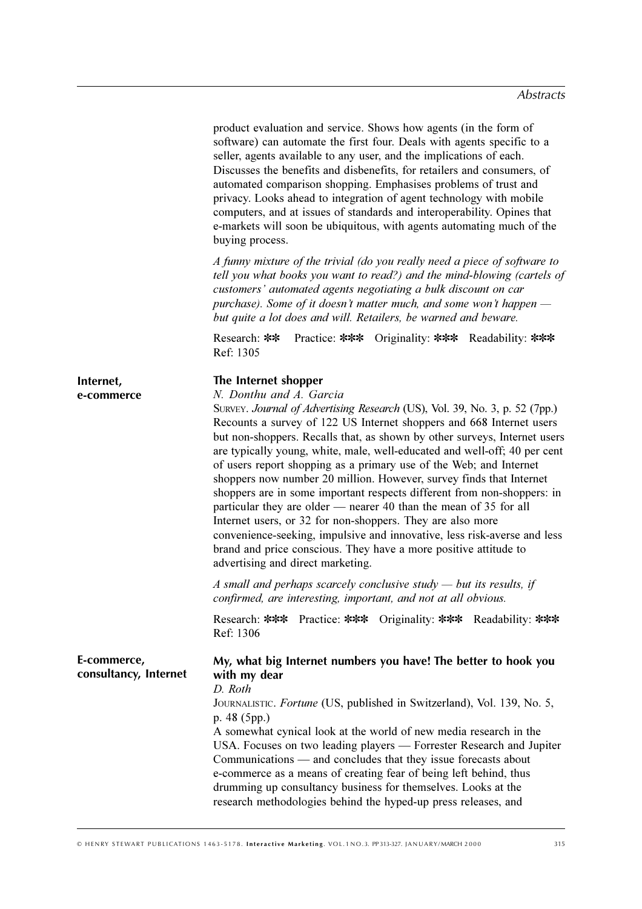|                                      | product evaluation and service. Shows how agents (in the form of<br>software) can automate the first four. Deals with agents specific to a<br>seller, agents available to any user, and the implications of each.<br>Discusses the benefits and disbenefits, for retailers and consumers, of<br>automated comparison shopping. Emphasises problems of trust and<br>privacy. Looks ahead to integration of agent technology with mobile<br>computers, and at issues of standards and interoperability. Opines that<br>e-markets will soon be ubiquitous, with agents automating much of the<br>buying process.                                                                                                                                                                                                                                                                                                   |
|--------------------------------------|-----------------------------------------------------------------------------------------------------------------------------------------------------------------------------------------------------------------------------------------------------------------------------------------------------------------------------------------------------------------------------------------------------------------------------------------------------------------------------------------------------------------------------------------------------------------------------------------------------------------------------------------------------------------------------------------------------------------------------------------------------------------------------------------------------------------------------------------------------------------------------------------------------------------|
|                                      | A funny mixture of the trivial (do you really need a piece of software to<br>tell you what books you want to read?) and the mind-blowing (cartels of<br>customers' automated agents negotiating a bulk discount on car<br>purchase). Some of it doesn't matter much, and some won't happen $-$<br>but quite a lot does and will. Retailers, be warned and beware.                                                                                                                                                                                                                                                                                                                                                                                                                                                                                                                                               |
|                                      | Practice: *** Originality: *** Readability: ***<br>Research: **<br>Ref: 1305                                                                                                                                                                                                                                                                                                                                                                                                                                                                                                                                                                                                                                                                                                                                                                                                                                    |
| Internet,<br>e-commerce              | The Internet shopper<br>N. Donthu and A. Garcia<br>SURVEY. Journal of Advertising Research (US), Vol. 39, No. 3, p. 52 (7pp.)<br>Recounts a survey of 122 US Internet shoppers and 668 Internet users<br>but non-shoppers. Recalls that, as shown by other surveys, Internet users<br>are typically young, white, male, well-educated and well-off; 40 per cent<br>of users report shopping as a primary use of the Web; and Internet<br>shoppers now number 20 million. However, survey finds that Internet<br>shoppers are in some important respects different from non-shoppers: in<br>particular they are older — nearer 40 than the mean of 35 for all<br>Internet users, or 32 for non-shoppers. They are also more<br>convenience-seeking, impulsive and innovative, less risk-averse and less<br>brand and price conscious. They have a more positive attitude to<br>advertising and direct marketing. |
|                                      | A small and perhaps scarcely conclusive study $-$ but its results, if<br>confirmed, are interesting, important, and not at all obvious.                                                                                                                                                                                                                                                                                                                                                                                                                                                                                                                                                                                                                                                                                                                                                                         |
|                                      | Research: *** Practice: *** Originality: *** Readability: ***<br>Ref: 1306                                                                                                                                                                                                                                                                                                                                                                                                                                                                                                                                                                                                                                                                                                                                                                                                                                      |
| E-commerce,<br>consultancy, Internet | My, what big Internet numbers you have! The better to hook you<br>with my dear<br>D. Roth<br>JOURNALISTIC. Fortune (US, published in Switzerland), Vol. 139, No. 5,<br>p. $48(5pp.)$<br>A somewhat cynical look at the world of new media research in the<br>USA. Focuses on two leading players — Forrester Research and Jupiter<br>Communications - and concludes that they issue forecasts about<br>e-commerce as a means of creating fear of being left behind, thus<br>drumming up consultancy business for themselves. Looks at the<br>research methodologies behind the hyped-up press releases, and                                                                                                                                                                                                                                                                                                     |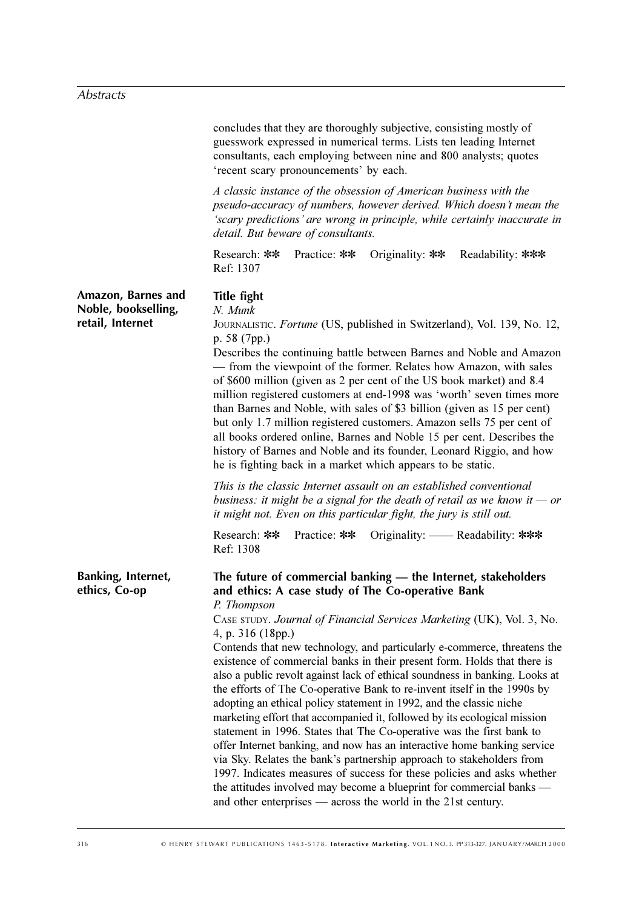|                                                               | concludes that they are thoroughly subjective, consisting mostly of<br>guesswork expressed in numerical terms. Lists ten leading Internet<br>consultants, each employing between nine and 800 analysts; quotes<br>'recent scary pronouncements' by each.                                                                                                                                                                                                                                                                                                                                                                                                                                                                                                                                                                                                                                                                                                                                                                                                                                                                                                |
|---------------------------------------------------------------|---------------------------------------------------------------------------------------------------------------------------------------------------------------------------------------------------------------------------------------------------------------------------------------------------------------------------------------------------------------------------------------------------------------------------------------------------------------------------------------------------------------------------------------------------------------------------------------------------------------------------------------------------------------------------------------------------------------------------------------------------------------------------------------------------------------------------------------------------------------------------------------------------------------------------------------------------------------------------------------------------------------------------------------------------------------------------------------------------------------------------------------------------------|
|                                                               | A classic instance of the obsession of American business with the<br>pseudo-accuracy of numbers, however derived. Which doesn't mean the<br>'scary predictions' are wrong in principle, while certainly inaccurate in<br>detail. But beware of consultants.                                                                                                                                                                                                                                                                                                                                                                                                                                                                                                                                                                                                                                                                                                                                                                                                                                                                                             |
|                                                               | Research: **<br>Practice: **<br>Originality: $**$<br>Readability: ***<br>Ref: 1307                                                                                                                                                                                                                                                                                                                                                                                                                                                                                                                                                                                                                                                                                                                                                                                                                                                                                                                                                                                                                                                                      |
| Amazon, Barnes and<br>Noble, bookselling,<br>retail, Internet | <b>Title fight</b><br>N. Munk<br>JOURNALISTIC. Fortune (US, published in Switzerland), Vol. 139, No. 12,<br>p. $58(7pp.)$<br>Describes the continuing battle between Barnes and Noble and Amazon<br>- from the viewpoint of the former. Relates how Amazon, with sales<br>of \$600 million (given as 2 per cent of the US book market) and 8.4<br>million registered customers at end-1998 was 'worth' seven times more<br>than Barnes and Noble, with sales of \$3 billion (given as 15 per cent)<br>but only 1.7 million registered customers. Amazon sells 75 per cent of<br>all books ordered online, Barnes and Noble 15 per cent. Describes the<br>history of Barnes and Noble and its founder, Leonard Riggio, and how<br>he is fighting back in a market which appears to be static.<br>This is the classic Internet assault on an established conventional<br>business: it might be a signal for the death of retail as we know it $-$ or<br>it might not. Even on this particular fight, the jury is still out.<br>Originality: — Readability: ***<br>Research: **<br>Practice: **<br>Ref: 1308                                               |
| Banking, Internet,<br>ethics, Co-op                           | The future of commercial banking - the Internet, stakeholders<br>and ethics: A case study of The Co-operative Bank<br>P. Thompson<br>CASE STUDY. Journal of Financial Services Marketing (UK), Vol. 3, No.<br>4, p. $316(18pp.)$<br>Contends that new technology, and particularly e-commerce, threatens the<br>existence of commercial banks in their present form. Holds that there is<br>also a public revolt against lack of ethical soundness in banking. Looks at<br>the efforts of The Co-operative Bank to re-invent itself in the 1990s by<br>adopting an ethical policy statement in 1992, and the classic niche<br>marketing effort that accompanied it, followed by its ecological mission<br>statement in 1996. States that The Co-operative was the first bank to<br>offer Internet banking, and now has an interactive home banking service<br>via Sky. Relates the bank's partnership approach to stakeholders from<br>1997. Indicates measures of success for these policies and asks whether<br>the attitudes involved may become a blueprint for commercial banks —<br>and other enterprises — across the world in the 21st century. |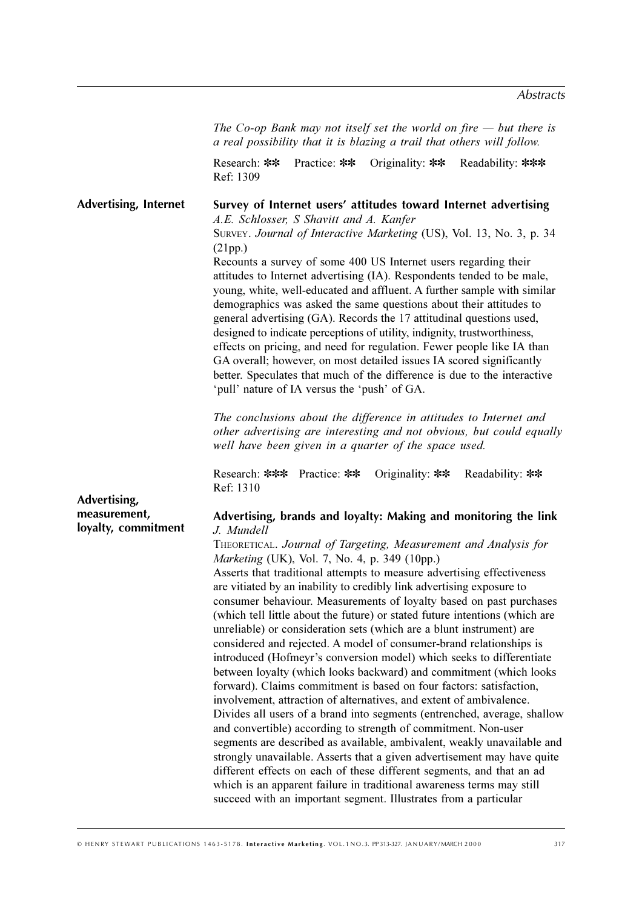The Co-op Bank may not itself set the world on fire  $-$  but there is *a real possibility that it is blazing a trail that others will follow.* 

Research: \*\* Practice: \*\* Originality: \*\* Readability: \*\*\* <u>Ref</u>: 1309

**Survey of Internet users' attitudes toward Internet advertising** A.E. Schlosser, S Shavitt and A. Kanfer SURVEY. *Journal of Interactive Marketing* (US), Vol. 13, No. 3, p. 34  $(21pp.)$ Recounts a survey of some 400 US Internet users regarding their attitudes to Internet advertising (IA). Respondents tended to be male, young, white, well-educated and affluent. A further sample with similar demographics was asked the same questions about their attitudes to general advertising  $(GA)$ . Records the 17 attitudinal questions used, designed to indicate perceptions of utility, indignity, trustworthiness, effects on pricing, and need for regulation. Fewer people like IA than GA overall; however, on most detailed issues IA scored significantly better. Speculates that much of the difference is due to the interactive 'pull' nature of IA versus the 'push' of GA. The conclusions about the difference in attitudes to Internet and other advertising are interesting and not obvious, but could equally well have been given in a quarter of the space used. Research: \*\*\* Practice: \*\* Originality: \*\* Readability: \*\* Ref: 1310 **Advertising, brands and loyalty: Making and monitoring the link** *+)*  THEORETICAL. *Journal of Targeting, Measurement and Analysis for Marketing* (UK), Vol. 7, No. 4, p. 349 (10pp.) Asserts that traditional attempts to measure advertising effectiveness are vitiated by an inability to credibly link advertising exposure to consumer behaviour. Measurements of loyalty based on past purchases (which tell little about the future) or stated future intentions (which are unreliable) or consideration sets (which are a blunt instrument) are considered and rejected. A model of consumer-brand relationships is introduced (Hofmeyr's conversion model) which seeks to differentiate between loyalty (which looks backward) and commitment (which looks forward). Claims commitment is based on four factors: satisfaction, involvement, attraction of alternatives, and extent of ambivalence. Divides all users of a brand into segments (entrenched, average, shallow and convertible) according to strength of commitment. Non-user segments are described as available, ambivalent, weakly unavailable and strongly unavailable. Asserts that a given advertisement may have quite different effects on each of these different segments, and that an ad which is an apparent failure in traditional awareness terms may still **Advertising, Internet Advertising, measurement, loyalty, commitment**

succeed with an important segment. Illustrates from a particular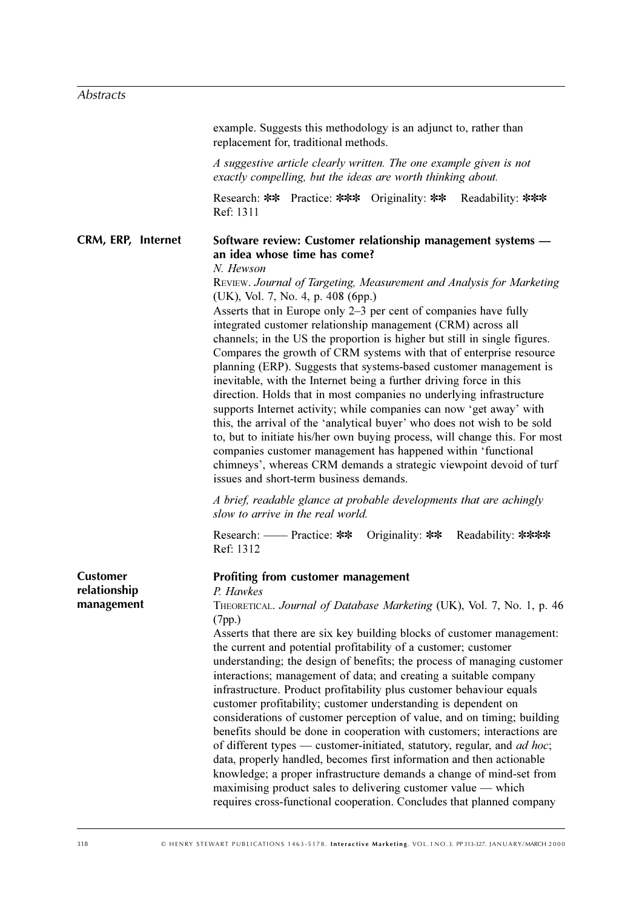example. Suggests this methodology is an adjunct to, rather than replacement for, traditional methods.

*A* suggestive article clearly written. The one example given is not exactly compelling, but the ideas are worth thinking about.

Research: \*\* Practice: \*\*\* Originality: \*\* Readability: \*\*\* Ref: 1311

#### **Software review: Customer relationship management systems an idea whose time has come? CRM, ERP, Internet**

 $N.$  *Hewson* 

REVIEW. Journal of Targeting, Measurement and Analysis for Marketing (UK), Vol. 7, No. 4, p. 408 (6pp.)

Asserts that in Europe only  $2-3$  per cent of companies have fully integrated customer relationship management (CRM) across all channels; in the US the proportion is higher but still in single figures. Compares the growth of CRM systems with that of enterprise resource planning (ERP). Suggests that systems-based customer management is inevitable, with the Internet being a further driving force in this direction. Holds that in most companies no underlying infrastructure supports Internet activity; while companies can now 'get away' with this, the arrival of the 'analytical buyer' who does not wish to be sold to, but to initiate his/her own buying process, will change this. For most companies customer management has happened within 'functional chimneys', whereas CRM demands a strategic viewpoint devoid of turf issues and short-term business demands.

*A* brief, readable glance at probable developments that are achingly slow to arrive in the real world.

Research: — Practice: \*\* Originality: \*\* Readability: \*\*\*\* Ref: 1312 **Profiting from customer management** *P.* Hawkes THEORETICAL. *Journal of Database Marketing* (UK), Vol. 7, No. 1, p. 46 (7pp.) Asserts that there are six key building blocks of customer management: the current and potential profitability of a customer; customer understanding; the design of benefits; the process of managing customer interactions; management of data; and creating a suitable company infrastructure. Product profitability plus customer behaviour equals customer profitability; customer understanding is dependent on considerations of customer perception of value, and on timing; building benefits should be done in cooperation with customers; interactions are of different types — customer-initiated, statutory, regular, and ad hoc; data, properly handled, becomes first information and then actionable knowledge; a proper infrastructure demands a change of mind-set from  $maximising product$  sales to delivering customer value  $-$  which **Customer relationship management**

requires cross-functional cooperation. Concludes that planned company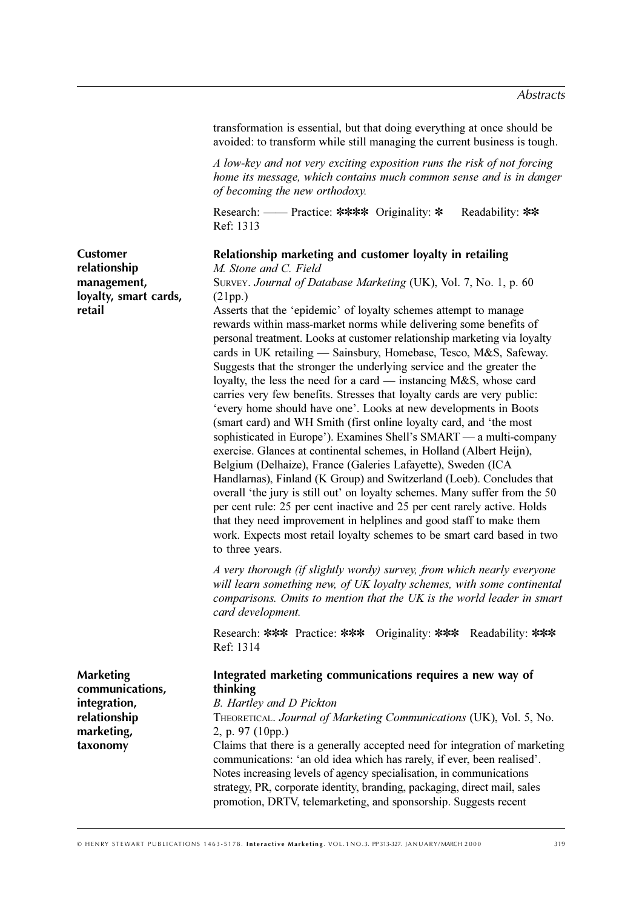transformation is essential, but that doing everything at once should be avoided: to transform while still managing the current business is tough.

*A low-key and not very exciting exposition runs the risk of not forcing home its message, which contains much common sense and is in danger of becoming the new orthodoxy.* 

Research: — Practice: \*\*\*\* Originality: \* Readability: \*\* Ref: 1313

## **Relationship marketing and customer loyalty in retailing**

**Customer relationship management, loyalty, smart cards, retail**

*M.* Stone and C. Field SURVEY. *Journal of Database Marketing* (UK), Vol. 7, No. 1, p. 60  $(21pp.)$ 

Asserts that the 'epidemic' of loyalty schemes attempt to manage rewards within mass-market norms while delivering some benefits of personal treatment. Looks at customer relationship marketing via loyalty cards in UK retailing — Sainsbury, Homebase, Tesco, M&S, Safeway. Suggests that the stronger the underlying service and the greater the loyalty, the less the need for a card — instancing  $M\&S$ , whose card carries very few benefits. Stresses that loyalty cards are very public: 'every home should have one'. Looks at new developments in Boots (smart card) and WH Smith (first online loyalty card, and 'the most sophisticated in Europe'). Examines Shell's SMART — a multi-company exercise. Glances at continental schemes, in Holland (Albert Heijn), Belgium (Delhaize), France (Galeries Lafayette), Sweden (ICA Handlarnas), Finland (K Group) and Switzerland (Loeb). Concludes that overall 'the jury is still out' on loyalty schemes. Many suffer from the 50 per cent rule: 25 per cent inactive and 25 per cent rarely active. Holds that they need improvement in helplines and good staff to make them work. Expects most retail loyalty schemes to be smart card based in two to three years.

*A* very thorough (if slightly wordy) survey, from which nearly everyone will learn something new, of UK loyalty schemes, with some continental comparisons. Omits to mention that the UK is the world leader in smart 

Research: \*\*\* Practice: \*\*\* Originality: \*\*\* Readability: \*\*\* Ref: 1314

| <b>Marketing</b> | Integrated marketing communications requires a new way of                                                                                              |
|------------------|--------------------------------------------------------------------------------------------------------------------------------------------------------|
| communications,  | thinking                                                                                                                                               |
| integration,     | <b>B.</b> Hartley and D Pickton                                                                                                                        |
| relationship     | THEORETICAL. Journal of Marketing Communications (UK), Vol. 5, No.                                                                                     |
| marketing,       | 2, p. 97 $(10pp.)$                                                                                                                                     |
| taxonomy         | Claims that there is a generally accepted need for integration of marketing<br>communications: 'an old idea which has rarely, if ever, been realised'. |
|                  | Notes increasing levels of agency specialisation, in communications                                                                                    |
|                  | strategy, PR, corporate identity, branding, packaging, direct mail, sales                                                                              |
|                  | promotion, DRTV, telemarketing, and sponsorship. Suggests recent                                                                                       |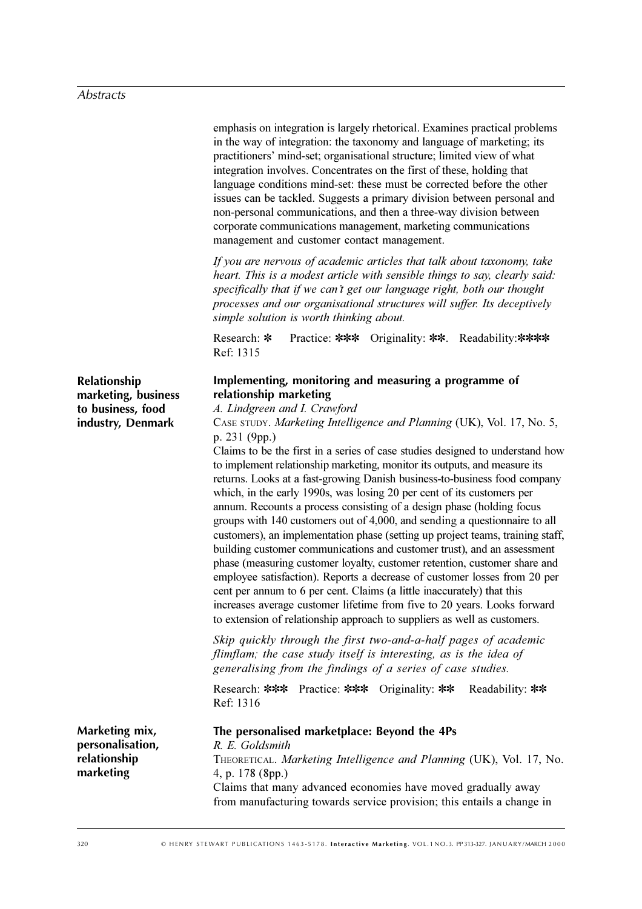emphasis on integration is largely rhetorical. Examines practical problems in the way of integration: the taxonomy and language of marketing; its practitioners' mind-set; organisational structure; limited view of what integration involves. Concentrates on the first of these, holding that language conditions mind-set: these must be corrected before the other issues can be tackled. Suggests a primary division between personal and non-personal communications, and then a three-way division between corporate communications management, marketing communications management and customer contact management.

*If you are nervous of academic articles that talk about taxonomy, take* heart. This is a modest article with sensible things to say, clearly said: *specifically that if we can't get our language right, both our thought* processes and our organisational structures will suffer. Its deceptively simple solution is worth thinking about.

Research: \* Practice: \*\*\* Originality: \*\*. Readability: \*\*\*\* Ref: 1315

# **Implementing, monitoring and measuring a programme of relationship marketing**

A. Lindgreen and I. Crawford

CASE STUDY. *Marketing Intelligence and Planning* (UK), Vol. 17, No. 5, p. 231 (9pp.)

Claims to be the first in a series of case studies designed to understand how to implement relationship marketing, monitor its outputs, and measure its returns. Looks at a fast-growing Danish business-to-business food company which, in the early 1990s, was losing 20 per cent of its customers per annum. Recounts a process consisting of a design phase (holding focus groups with  $140$  customers out of  $4,000$ , and sending a questionnaire to all customers), an implementation phase (setting up project teams, training staff, building customer communications and customer trust), and an assessment phase (measuring customer loyalty, customer retention, customer share and employee satisfaction). Reports a decrease of customer losses from 20 per cent per annum to 6 per cent. Claims (a little inaccurately) that this increases average customer lifetime from five to 20 years. Looks forward to extension of relationship approach to suppliers as well as customers.

Skip quickly through the first two-and-a-half pages of academic flimflam; the case study itself is interesting, as is the idea of generalising from the findings of a series of case studies.

Research: \*\*\* Practice: \*\*\* Originality: \*\* Readability: \*\* Ref: 1316

**The personalised marketplace: Beyond the 4Ps** *R. E. Goldsmith* THEORETICAL. *Marketing Intelligence and Planning* (UK), Vol. 17, No. 4, p. 178 (8pp.) Claims that many advanced economies have moved gradually away from manufacturing towards service provision; this entails a change in **Marketing mix, personalisation, relationship marketing**

**Relationship marketing, business to business, food industry, Denmark**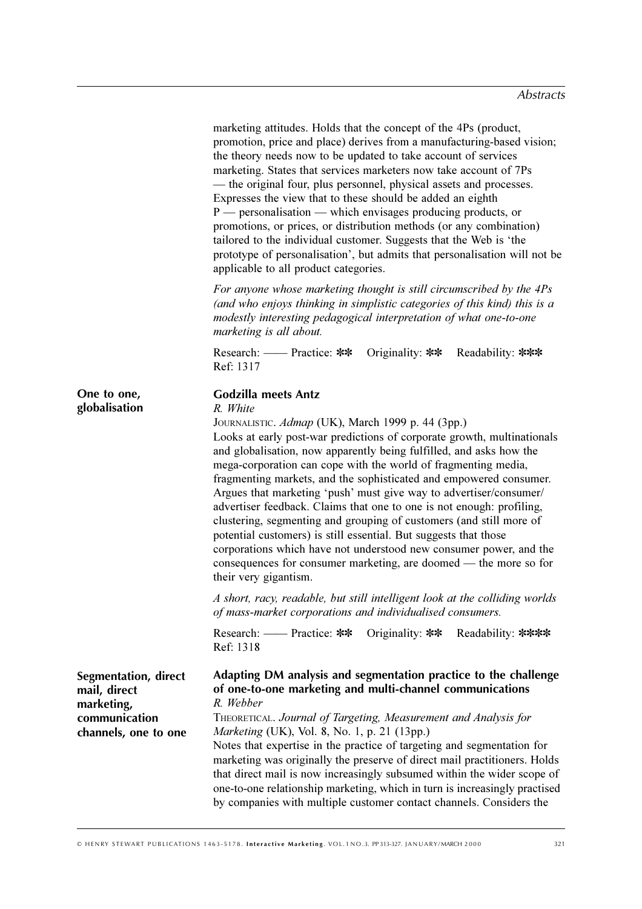|                                                                                             | marketing attitudes. Holds that the concept of the 4Ps (product,<br>promotion, price and place) derives from a manufacturing-based vision;<br>the theory needs now to be updated to take account of services<br>marketing. States that services marketers now take account of 7Ps<br>— the original four, plus personnel, physical assets and processes.<br>Expresses the view that to these should be added an eighth<br>$P$ - personalisation - which envisages producing products, or<br>promotions, or prices, or distribution methods (or any combination)<br>tailored to the individual customer. Suggests that the Web is 'the<br>prototype of personalisation', but admits that personalisation will not be<br>applicable to all product categories.                                                                                                                                                                                                                                    |
|---------------------------------------------------------------------------------------------|-------------------------------------------------------------------------------------------------------------------------------------------------------------------------------------------------------------------------------------------------------------------------------------------------------------------------------------------------------------------------------------------------------------------------------------------------------------------------------------------------------------------------------------------------------------------------------------------------------------------------------------------------------------------------------------------------------------------------------------------------------------------------------------------------------------------------------------------------------------------------------------------------------------------------------------------------------------------------------------------------|
|                                                                                             | For anyone whose marketing thought is still circumscribed by the 4Ps<br>(and who enjoys thinking in simplistic categories of this kind) this is a<br>modestly interesting pedagogical interpretation of what one-to-one<br>marketing is all about.                                                                                                                                                                                                                                                                                                                                                                                                                                                                                                                                                                                                                                                                                                                                              |
|                                                                                             | Originality: $**$<br>Research: — Practice: **<br>Readability: ***<br>Ref: 1317                                                                                                                                                                                                                                                                                                                                                                                                                                                                                                                                                                                                                                                                                                                                                                                                                                                                                                                  |
| One to one,<br>globalisation                                                                | <b>Godzilla meets Antz</b><br>R. White<br>JOURNALISTIC. Admap (UK), March 1999 p. 44 (3pp.)<br>Looks at early post-war predictions of corporate growth, multinationals<br>and globalisation, now apparently being fulfilled, and asks how the<br>mega-corporation can cope with the world of fragmenting media,<br>fragmenting markets, and the sophisticated and empowered consumer.<br>Argues that marketing 'push' must give way to advertiser/consumer/<br>advertiser feedback. Claims that one to one is not enough: profiling,<br>clustering, segmenting and grouping of customers (and still more of<br>potential customers) is still essential. But suggests that those<br>corporations which have not understood new consumer power, and the<br>consequences for consumer marketing, are doomed — the more so for<br>their very gigantism.<br>A short, racy, readable, but still intelligent look at the colliding worlds<br>of mass-market corporations and individualised consumers. |
|                                                                                             | Research: — Practice: **<br>Originality: $**$<br>Readability: ****<br>Ref: 1318                                                                                                                                                                                                                                                                                                                                                                                                                                                                                                                                                                                                                                                                                                                                                                                                                                                                                                                 |
| Segmentation, direct<br>mail, direct<br>marketing,<br>communication<br>channels, one to one | Adapting DM analysis and segmentation practice to the challenge<br>of one-to-one marketing and multi-channel communications<br>R. Webber<br>THEORETICAL. Journal of Targeting, Measurement and Analysis for<br>Marketing (UK), Vol. 8, No. 1, p. 21 (13pp.)<br>Notes that expertise in the practice of targeting and segmentation for<br>marketing was originally the preserve of direct mail practitioners. Holds<br>that direct mail is now increasingly subsumed within the wider scope of<br>one-to-one relationship marketing, which in turn is increasingly practised<br>by companies with multiple customer contact channels. Considers the                                                                                                                                                                                                                                                                                                                                              |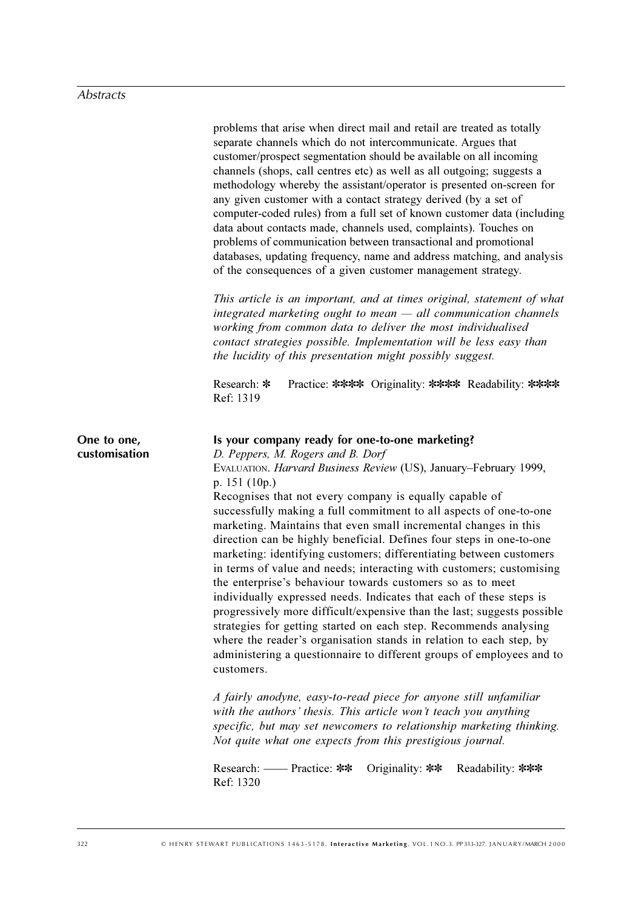|                              | problems that arise when direct mail and retail are treated as totally<br>separate channels which do not intercommunicate. Argues that<br>customer/prospect segmentation should be available on all incoming<br>channels (shops, call centres etc) as well as all outgoing; suggests a<br>methodology whereby the assistant/operator is presented on-screen for<br>any given customer with a contact strategy derived (by a set of<br>computer-coded rules) from a full set of known customer data (including<br>data about contacts made, channels used, complaints). Touches on<br>problems of communication between transactional and promotional<br>databases, updating frequency, name and address matching, and analysis<br>of the consequences of a given customer management strategy.<br>This article is an important, and at times original, statement of what<br>$integrated$ marketing ought to mean $-$ all communication channels<br>working from common data to deliver the most individualised                                                                                                                                                                                                                                                                                                                                                                                                        |
|------------------------------|-----------------------------------------------------------------------------------------------------------------------------------------------------------------------------------------------------------------------------------------------------------------------------------------------------------------------------------------------------------------------------------------------------------------------------------------------------------------------------------------------------------------------------------------------------------------------------------------------------------------------------------------------------------------------------------------------------------------------------------------------------------------------------------------------------------------------------------------------------------------------------------------------------------------------------------------------------------------------------------------------------------------------------------------------------------------------------------------------------------------------------------------------------------------------------------------------------------------------------------------------------------------------------------------------------------------------------------------------------------------------------------------------------------------------|
|                              | contact strategies possible. Implementation will be less easy than<br>the lucidity of this presentation might possibly suggest.                                                                                                                                                                                                                                                                                                                                                                                                                                                                                                                                                                                                                                                                                                                                                                                                                                                                                                                                                                                                                                                                                                                                                                                                                                                                                       |
|                              | Research: *<br>Practice: **** Originality: **** Readability: ****<br>Ref: 1319                                                                                                                                                                                                                                                                                                                                                                                                                                                                                                                                                                                                                                                                                                                                                                                                                                                                                                                                                                                                                                                                                                                                                                                                                                                                                                                                        |
| One to one,<br>customisation | Is your company ready for one-to-one marketing?<br>D. Peppers, M. Rogers and B. Dorf<br>EVALUATION. Harvard Business Review (US), January-February 1999,<br>p. 151 (10p.)<br>Recognises that not every company is equally capable of<br>successfully making a full commitment to all aspects of one-to-one<br>marketing. Maintains that even small incremental changes in this<br>direction can be highly beneficial. Defines four steps in one-to-one<br>marketing: identifying customers; differentiating between customers<br>in terms of value and needs; interacting with customers; customising<br>the enterprise's behaviour towards customers so as to meet<br>individually expressed needs. Indicates that each of these steps is<br>progressively more difficult/expensive than the last; suggests possible<br>strategies for getting started on each step. Recommends analysing<br>where the reader's organisation stands in relation to each step, by<br>administering a questionnaire to different groups of employees and to<br>customers.<br>A fairly anodyne, easy-to-read piece for anyone still unfamiliar<br>with the authors' thesis. This article won't teach you anything<br>specific, but may set newcomers to relationship marketing thinking.<br>Not quite what one expects from this prestigious journal.<br>Research: — Practice: **<br>Originality: $**$<br>Readability: ***<br>Ref: 1320 |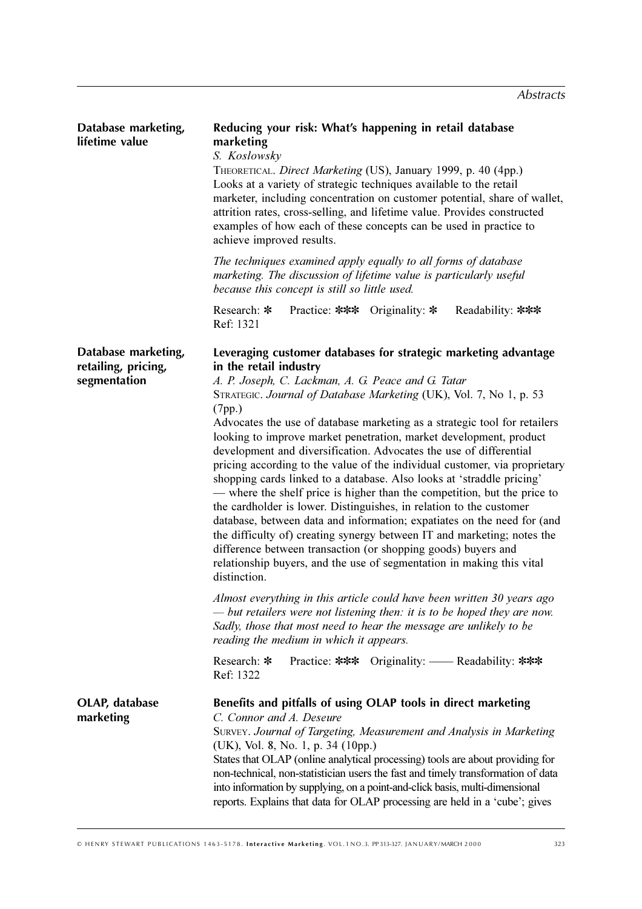| Database marketing,<br>lifetime value                      | Reducing your risk: What's happening in retail database<br>marketing<br>S. Koslowsky<br>THEORETICAL. Direct Marketing (US), January 1999, p. 40 (4pp.)<br>Looks at a variety of strategic techniques available to the retail<br>marketer, including concentration on customer potential, share of wallet,<br>attrition rates, cross-selling, and lifetime value. Provides constructed<br>examples of how each of these concepts can be used in practice to<br>achieve improved results.<br>The techniques examined apply equally to all forms of database                                                                                                                                                                                                                                                                                                                                                                                                                                                                                                                                                                                                                                                                                                                                                                                                                                                                                |  |  |  |  |
|------------------------------------------------------------|------------------------------------------------------------------------------------------------------------------------------------------------------------------------------------------------------------------------------------------------------------------------------------------------------------------------------------------------------------------------------------------------------------------------------------------------------------------------------------------------------------------------------------------------------------------------------------------------------------------------------------------------------------------------------------------------------------------------------------------------------------------------------------------------------------------------------------------------------------------------------------------------------------------------------------------------------------------------------------------------------------------------------------------------------------------------------------------------------------------------------------------------------------------------------------------------------------------------------------------------------------------------------------------------------------------------------------------------------------------------------------------------------------------------------------------|--|--|--|--|
|                                                            | marketing. The discussion of lifetime value is particularly useful<br>because this concept is still so little used.                                                                                                                                                                                                                                                                                                                                                                                                                                                                                                                                                                                                                                                                                                                                                                                                                                                                                                                                                                                                                                                                                                                                                                                                                                                                                                                      |  |  |  |  |
|                                                            | Research: *<br>Practice: *** Originality: *<br>Readability: ***<br>Ref: 1321                                                                                                                                                                                                                                                                                                                                                                                                                                                                                                                                                                                                                                                                                                                                                                                                                                                                                                                                                                                                                                                                                                                                                                                                                                                                                                                                                             |  |  |  |  |
| Database marketing,<br>retailing, pricing,<br>segmentation | Leveraging customer databases for strategic marketing advantage<br>in the retail industry<br>A. P. Joseph, C. Lackman, A. G. Peace and G. Tatar<br>STRATEGIC. Journal of Database Marketing (UK), Vol. 7, No 1, p. 53<br>(7pp.)<br>Advocates the use of database marketing as a strategic tool for retailers<br>looking to improve market penetration, market development, product<br>development and diversification. Advocates the use of differential<br>pricing according to the value of the individual customer, via proprietary<br>shopping cards linked to a database. Also looks at 'straddle pricing'<br>— where the shelf price is higher than the competition, but the price to<br>the cardholder is lower. Distinguishes, in relation to the customer<br>database, between data and information; expatiates on the need for (and<br>the difficulty of) creating synergy between IT and marketing; notes the<br>difference between transaction (or shopping goods) buyers and<br>relationship buyers, and the use of segmentation in making this vital<br>distinction.<br>Almost everything in this article could have been written 30 years ago<br>$-$ but retailers were not listening then: it is to be hoped they are now.<br>Sadly, those that most need to hear the message are unlikely to be<br>reading the medium in which it appears.<br>Research: *<br>Practice: *** Originality: — Readability: ***<br>Ref: 1322 |  |  |  |  |
| OLAP, database<br>marketing                                | Benefits and pitfalls of using OLAP tools in direct marketing<br>C. Connor and A. Deseure<br>SURVEY. Journal of Targeting, Measurement and Analysis in Marketing<br>(UK), Vol. 8, No. 1, p. 34 (10pp.)<br>States that OLAP (online analytical processing) tools are about providing for<br>non-technical, non-statistician users the fast and timely transformation of data<br>into information by supplying, on a point-and-click basis, multi-dimensional<br>reports. Explains that data for OLAP processing are held in a 'cube'; gives                                                                                                                                                                                                                                                                                                                                                                                                                                                                                                                                                                                                                                                                                                                                                                                                                                                                                               |  |  |  |  |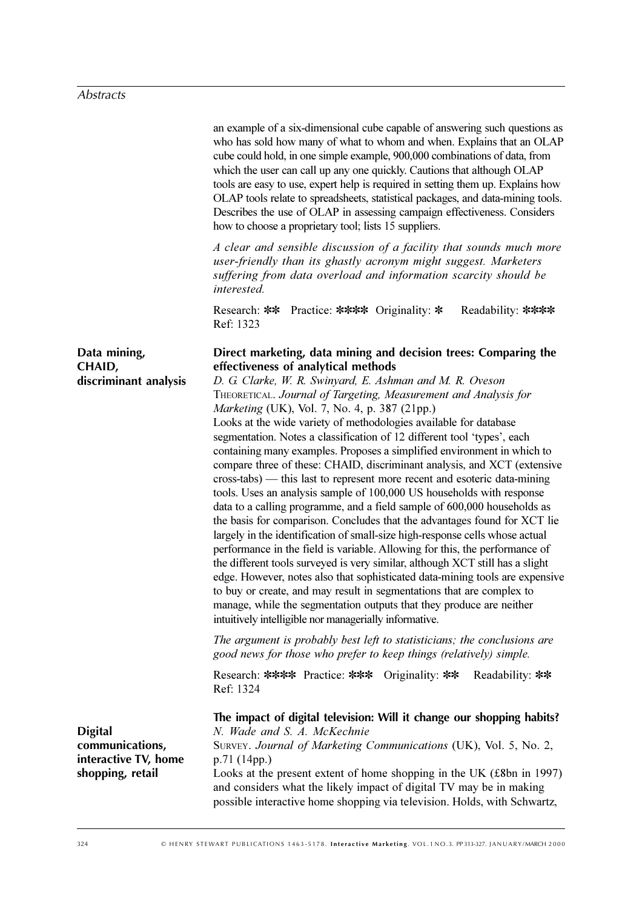|                                                                               | an example of a six-dimensional cube capable of answering such questions as<br>who has sold how many of what to whom and when. Explains that an OLAP<br>cube could hold, in one simple example, 900,000 combinations of data, from<br>which the user can call up any one quickly. Cautions that although OLAP<br>tools are easy to use, expert help is required in setting them up. Explains how<br>OLAP tools relate to spreadsheets, statistical packages, and data-mining tools.<br>Describes the use of OLAP in assessing campaign effectiveness. Considers<br>how to choose a proprietary tool; lists 15 suppliers.<br>A clear and sensible discussion of a facility that sounds much more<br>user-friendly than its ghastly acronym might suggest. Marketers<br>suffering from data overload and information scarcity should be<br><i>interested.</i>                                                                                                                                                                                                                                                                                                                                                                                                                                                                                                                                                                                             |
|-------------------------------------------------------------------------------|---------------------------------------------------------------------------------------------------------------------------------------------------------------------------------------------------------------------------------------------------------------------------------------------------------------------------------------------------------------------------------------------------------------------------------------------------------------------------------------------------------------------------------------------------------------------------------------------------------------------------------------------------------------------------------------------------------------------------------------------------------------------------------------------------------------------------------------------------------------------------------------------------------------------------------------------------------------------------------------------------------------------------------------------------------------------------------------------------------------------------------------------------------------------------------------------------------------------------------------------------------------------------------------------------------------------------------------------------------------------------------------------------------------------------------------------------------|
|                                                                               | Research: ** Practice: **** Originality: *<br>Readability: ****<br>Ref: 1323                                                                                                                                                                                                                                                                                                                                                                                                                                                                                                                                                                                                                                                                                                                                                                                                                                                                                                                                                                                                                                                                                                                                                                                                                                                                                                                                                                            |
| Data mining,<br>CHAID,<br>discriminant analysis                               | Direct marketing, data mining and decision trees: Comparing the<br>effectiveness of analytical methods<br>D. G. Clarke, W. R. Swinyard, E. Ashman and M. R. Oveson<br>THEORETICAL. Journal of Targeting, Measurement and Analysis for<br>Marketing (UK), Vol. 7, No. 4, p. 387 (21pp.)<br>Looks at the wide variety of methodologies available for database<br>segmentation. Notes a classification of 12 different tool 'types', each<br>containing many examples. Proposes a simplified environment in which to<br>compare three of these: CHAID, discriminant analysis, and XCT (extensive<br>cross-tabs) — this last to represent more recent and esoteric data-mining<br>tools. Uses an analysis sample of 100,000 US households with response<br>data to a calling programme, and a field sample of 600,000 households as<br>the basis for comparison. Concludes that the advantages found for XCT lie<br>largely in the identification of small-size high-response cells whose actual<br>performance in the field is variable. Allowing for this, the performance of<br>the different tools surveyed is very similar, although XCT still has a slight<br>edge. However, notes also that sophisticated data-mining tools are expensive<br>to buy or create, and may result in segmentations that are complex to<br>manage, while the segmentation outputs that they produce are neither<br>intuitively intelligible nor managerially informative. |
|                                                                               | The argument is probably best left to statisticians; the conclusions are<br>good news for those who prefer to keep things (relatively) simple.                                                                                                                                                                                                                                                                                                                                                                                                                                                                                                                                                                                                                                                                                                                                                                                                                                                                                                                                                                                                                                                                                                                                                                                                                                                                                                          |
|                                                                               | Research: **** Practice: *** Originality: **<br>Readability: **<br>Ref: 1324                                                                                                                                                                                                                                                                                                                                                                                                                                                                                                                                                                                                                                                                                                                                                                                                                                                                                                                                                                                                                                                                                                                                                                                                                                                                                                                                                                            |
| <b>Digital</b><br>communications,<br>interactive TV, home<br>shopping, retail | The impact of digital television: Will it change our shopping habits?<br>N. Wade and S. A. McKechnie<br>SURVEY. Journal of Marketing Communications (UK), Vol. 5, No. 2,<br>p.71 (14pp.)<br>Looks at the present extent of home shopping in the UK (£8bn in 1997)<br>and considers what the likely impact of digital TV may be in making<br>possible interactive home shopping via television. Holds, with Schwartz,                                                                                                                                                                                                                                                                                                                                                                                                                                                                                                                                                                                                                                                                                                                                                                                                                                                                                                                                                                                                                                    |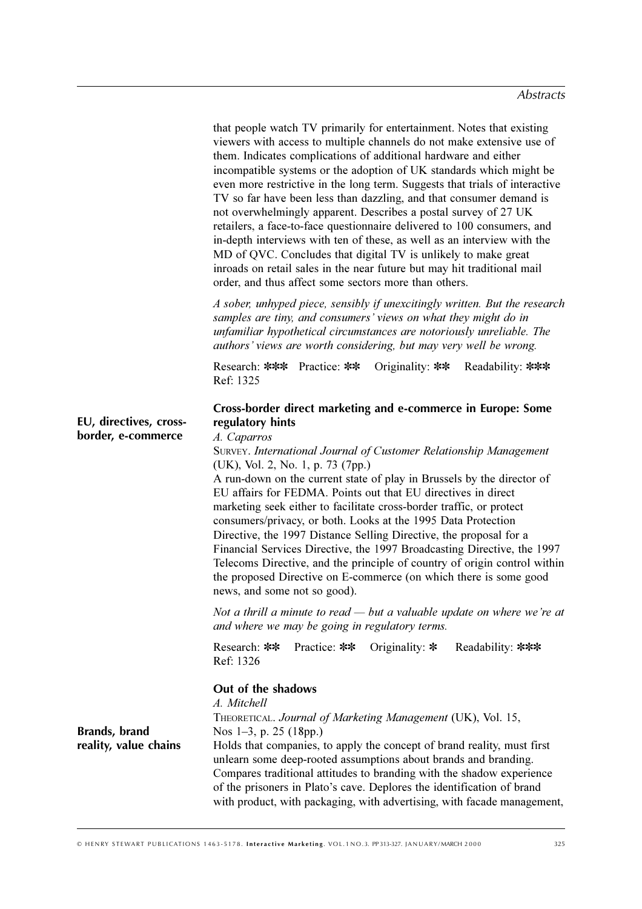|                                              | that people watch TV primarily for entertainment. Notes that existing<br>viewers with access to multiple channels do not make extensive use of<br>them. Indicates complications of additional hardware and either<br>incompatible systems or the adoption of UK standards which might be<br>even more restrictive in the long term. Suggests that trials of interactive<br>TV so far have been less than dazzling, and that consumer demand is<br>not overwhelmingly apparent. Describes a postal survey of 27 UK<br>retailers, a face-to-face questionnaire delivered to 100 consumers, and<br>in-depth interviews with ten of these, as well as an interview with the<br>MD of QVC. Concludes that digital TV is unlikely to make great<br>inroads on retail sales in the near future but may hit traditional mail<br>order, and thus affect some sectors more than others. |
|----------------------------------------------|-------------------------------------------------------------------------------------------------------------------------------------------------------------------------------------------------------------------------------------------------------------------------------------------------------------------------------------------------------------------------------------------------------------------------------------------------------------------------------------------------------------------------------------------------------------------------------------------------------------------------------------------------------------------------------------------------------------------------------------------------------------------------------------------------------------------------------------------------------------------------------|
|                                              | A sober, unhyped piece, sensibly if unexcitingly written. But the research<br>samples are tiny, and consumers' views on what they might do in<br>unfamiliar hypothetical circumstances are notoriously unreliable. The<br>authors' views are worth considering, but may very well be wrong.                                                                                                                                                                                                                                                                                                                                                                                                                                                                                                                                                                                   |
|                                              | Research: *** Practice: **<br>Originality: ** Readability: ***<br>Ref: 1325                                                                                                                                                                                                                                                                                                                                                                                                                                                                                                                                                                                                                                                                                                                                                                                                   |
| EU, directives, cross-<br>border, e-commerce | Cross-border direct marketing and e-commerce in Europe: Some<br>regulatory hints<br>A. Caparros<br>SURVEY. International Journal of Customer Relationship Management<br>(UK), Vol. 2, No. 1, p. 73 (7pp.)<br>A run-down on the current state of play in Brussels by the director of<br>EU affairs for FEDMA. Points out that EU directives in direct<br>marketing seek either to facilitate cross-border traffic, or protect<br>consumers/privacy, or both. Looks at the 1995 Data Protection<br>Directive, the 1997 Distance Selling Directive, the proposal for a<br>Financial Services Directive, the 1997 Broadcasting Directive, the 1997<br>Telecoms Directive, and the principle of country of origin control within<br>the proposed Directive on E-commerce (on which there is some good<br>news, and some not so good).                                              |
|                                              | Not a thrill a minute to read $-$ but a valuable update on where we're at<br>and where we may be going in regulatory terms.                                                                                                                                                                                                                                                                                                                                                                                                                                                                                                                                                                                                                                                                                                                                                   |
|                                              | Practice: **<br>Research: **<br>Originality: $*$<br>Readability: ***<br>Ref: 1326                                                                                                                                                                                                                                                                                                                                                                                                                                                                                                                                                                                                                                                                                                                                                                                             |
| Brands, brand<br>reality, value chains       | Out of the shadows<br>A. Mitchell<br>THEORETICAL. Journal of Marketing Management (UK), Vol. 15,<br>Nos $1-3$ , p. 25 (18pp.)<br>Holds that companies, to apply the concept of brand reality, must first<br>unlearn some deep-rooted assumptions about brands and branding.<br>Compares traditional attitudes to branding with the shadow experience<br>of the prisoners in Plato's cave. Deplores the identification of brand                                                                                                                                                                                                                                                                                                                                                                                                                                                |

with product, with packaging, with advertising, with facade management,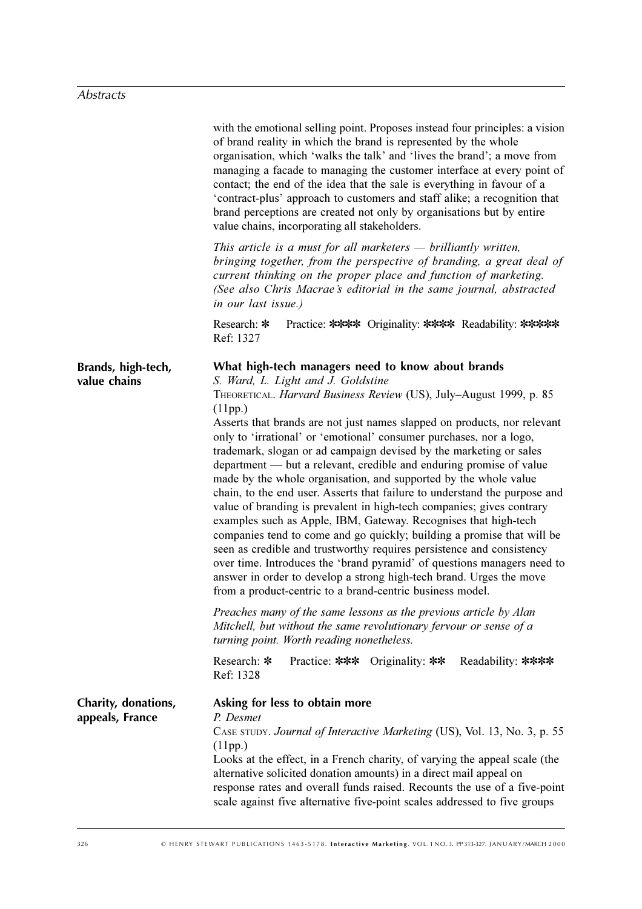|                                        | with the emotional selling point. Proposes instead four principles: a vision<br>of brand reality in which the brand is represented by the whole<br>organisation, which 'walks the talk' and 'lives the brand'; a move from<br>managing a facade to managing the customer interface at every point of<br>contact; the end of the idea that the sale is everything in favour of a<br>'contract-plus' approach to customers and staff alike; a recognition that<br>brand perceptions are created not only by organisations but by entire<br>value chains, incorporating all stakeholders.                                                                                                                                                                                                                                                                                                                                                                                                                                                                                                                                                                                                                                                                                                                                           |
|----------------------------------------|----------------------------------------------------------------------------------------------------------------------------------------------------------------------------------------------------------------------------------------------------------------------------------------------------------------------------------------------------------------------------------------------------------------------------------------------------------------------------------------------------------------------------------------------------------------------------------------------------------------------------------------------------------------------------------------------------------------------------------------------------------------------------------------------------------------------------------------------------------------------------------------------------------------------------------------------------------------------------------------------------------------------------------------------------------------------------------------------------------------------------------------------------------------------------------------------------------------------------------------------------------------------------------------------------------------------------------|
|                                        | This article is a must for all marketers $-$ brilliantly written,<br>bringing together, from the perspective of branding, a great deal of<br>current thinking on the proper place and function of marketing.<br>(See also Chris Macrae's editorial in the same journal, abstracted<br>in our last issue.)                                                                                                                                                                                                                                                                                                                                                                                                                                                                                                                                                                                                                                                                                                                                                                                                                                                                                                                                                                                                                        |
|                                        | Practice: **** Originality: **** Readability: *****<br>Research: *<br>Ref: 1327                                                                                                                                                                                                                                                                                                                                                                                                                                                                                                                                                                                                                                                                                                                                                                                                                                                                                                                                                                                                                                                                                                                                                                                                                                                  |
| Brands, high-tech,<br>value chains     | What high-tech managers need to know about brands<br>S. Ward, L. Light and J. Goldstine<br>THEORETICAL. Harvard Business Review (US), July-August 1999, p. 85<br>(11pp.)<br>Asserts that brands are not just names slapped on products, nor relevant<br>only to 'irrational' or 'emotional' consumer purchases, nor a logo,<br>trademark, slogan or ad campaign devised by the marketing or sales<br>department — but a relevant, credible and enduring promise of value<br>made by the whole organisation, and supported by the whole value<br>chain, to the end user. Asserts that failure to understand the purpose and<br>value of branding is prevalent in high-tech companies; gives contrary<br>examples such as Apple, IBM, Gateway. Recognises that high-tech<br>companies tend to come and go quickly; building a promise that will be<br>seen as credible and trustworthy requires persistence and consistency<br>over time. Introduces the 'brand pyramid' of questions managers need to<br>answer in order to develop a strong high-tech brand. Urges the move<br>from a product-centric to a brand-centric business model.<br>Preaches many of the same lessons as the previous article by Alan<br>Mitchell, but without the same revolutionary fervour or sense of a<br>turning point. Worth reading nonetheless. |
|                                        | Research: *<br>Practice: *** Originality: **<br>Readability: ****<br>Ref: 1328                                                                                                                                                                                                                                                                                                                                                                                                                                                                                                                                                                                                                                                                                                                                                                                                                                                                                                                                                                                                                                                                                                                                                                                                                                                   |
| Charity, donations,<br>appeals, France | Asking for less to obtain more<br>P. Desmet<br>CASE STUDY. Journal of Interactive Marketing (US), Vol. 13, No. 3, p. 55<br>(11pp.)<br>Looks at the effect, in a French charity, of varying the appeal scale (the<br>alternative solicited donation amounts) in a direct mail appeal on<br>response rates and overall funds raised. Recounts the use of a five-point<br>scale against five alternative five-point scales addressed to five groups                                                                                                                                                                                                                                                                                                                                                                                                                                                                                                                                                                                                                                                                                                                                                                                                                                                                                 |